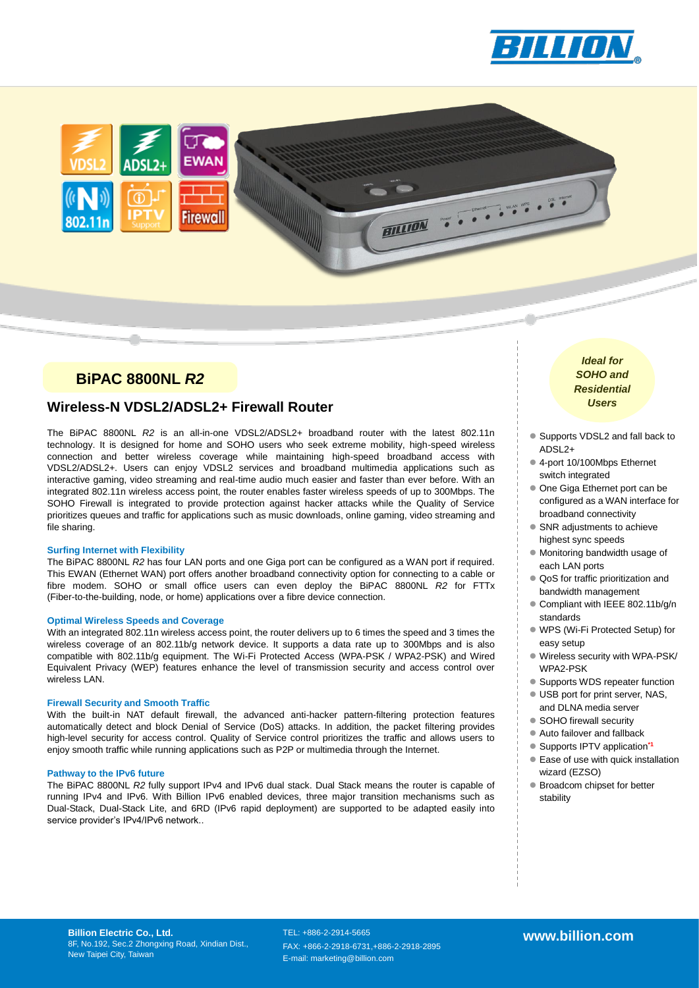



## **BiPAC 8800NL** *R2*

### **Wireless** *Users* **-N VDSL2/ADSL2+ Firewall Router**

The BiPAC 8800NL *R2* is an all-in-one VDSL2/ADSL2+ broadband router with the latest 802.11n technology. It is designed for home and SOHO users who seek extreme mobility, high-speed wireless connection and better wireless coverage while maintaining high-speed broadband access with VDSL2/ADSL2+. Users can enjoy VDSL2 services and broadband multimedia applications such as interactive gaming, video streaming and real-time audio much easier and faster than ever before. With an integrated 802.11n wireless access point, the router enables faster wireless speeds of up to 300Mbps. The SOHO Firewall is integrated to provide protection against hacker attacks while the Quality of Service prioritizes queues and traffic for applications such as music downloads, online gaming, video streaming and file sharing.

BILLION

#### **Surfing Internet with Flexibility**

The BiPAC 8800NL *R2* has four LAN ports and one Giga port can be configured as a WAN port if required. This EWAN (Ethernet WAN) port offers another broadband connectivity option for connecting to a cable or fibre modem. SOHO or small office users can even deploy the BiPAC 8800NL *R2* for FTTx (Fiber-to-the-building, node, or home) applications over a fibre device connection.

#### **Optimal Wireless Speeds and Coverage**

With an integrated 802.11n wireless access point, the router delivers up to 6 times the speed and 3 times the wireless coverage of an 802.11b/g network device. It supports a data rate up to 300Mbps and is also compatible with 802.11b/g equipment. The Wi-Fi Protected Access (WPA-PSK / WPA2-PSK) and Wired Equivalent Privacy (WEP) features enhance the level of transmission security and access control over wireless LAN.

#### **Firewall Security and Smooth Traffic**

With the built-in NAT default firewall, the advanced anti-hacker pattern-filtering protection features automatically detect and block Denial of Service (DoS) attacks. In addition, the packet filtering provides high-level security for access control. Quality of Service control prioritizes the traffic and allows users to enjoy smooth traffic while running applications such as P2P or multimedia through the Internet.

#### **Pathway to the IPv6 future**

The BiPAC 8800NL *R2* fully support IPv4 and IPv6 dual stack. Dual Stack means the router is capable of running IPv4 and IPv6. With Billion IPv6 enabled devices, three major transition mechanisms such as Dual-Stack, Dual-Stack Lite, and 6RD (IPv6 rapid deployment) are supported to be adapted easily into service provider's IPv4/IPv6 network..

*Ideal for SOHO and Residential* 

- Supports VDSL2 and fall back to ADSL2+
- 4-port 10/100Mbps Ethernet switch integrated
- One Giga Ethernet port can be configured as a WAN interface for broadband connectivity
- SNR adjustments to achieve highest sync speeds
- Monitoring bandwidth usage of each LAN ports
- QoS for traffic prioritization and bandwidth management
- Compliant with IEEE 802.11b/g/n standards
- WPS (Wi-Fi Protected Setup) for easy setup
- Wireless security with WPA-PSK/ WPA2-PSK
- Supports WDS repeater function
- USB port for print server, NAS, and DLNA media server
- SOHO firewall security
- Auto failover and fallback
- Supports IPTV application**\*1**
- Ease of use with quick installation wizard (EZSO)
- Broadcom chipset for better stability

**Billion Electric Co., Ltd.** 8F, No.192, Sec.2 Zhongxing Road, Xindian Dist., New Taipei City, Taiwan

TEL: +886-2-2914-5665 FAX: +866-2-2918-6731,+886-2-2918-2895 E-mail: marketing@billion.com